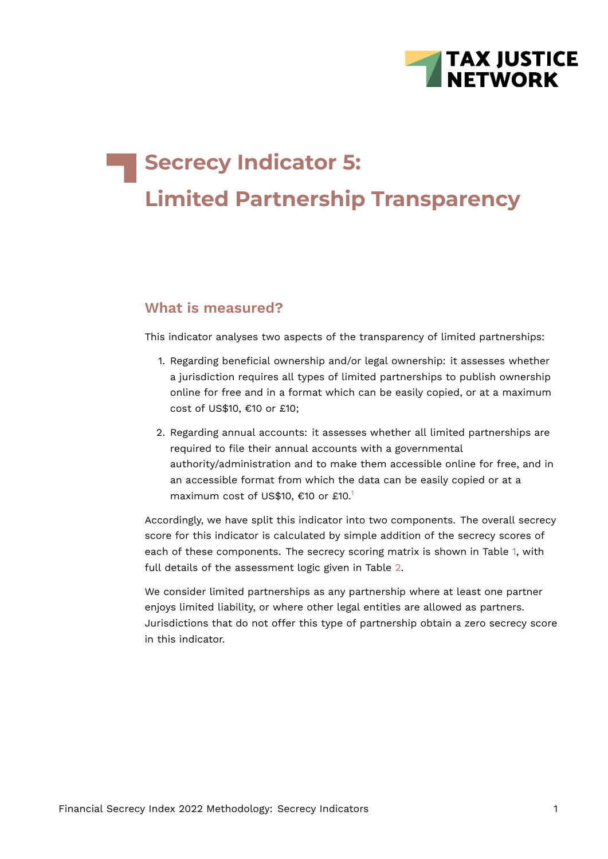

# **Secrecy Indicator 5: Limited Partnership Transparency**

# **What is measured?**

This indicator analyses two aspects of the transparency of limited partnerships:

- 1. Regarding beneficial ownership and/or legal ownership: it assesses whether a jurisdiction requires all types of limited partnerships to publish ownership online for free and in a format which can be easily copied, or at a maximum cost of US\$10, €10 or £10;
- <span id="page-0-0"></span>2. Regarding annual accounts: it assesses whether all limited partnerships are required to file their annual accounts with a governmental authority/administration and to make them accessible online for free, and in an accessible format from which the data can be easily copied or at a maximum cost of US\$[1](#page-13-0)0, €10 or £10.<sup>1</sup>

Accordingly, we have split this indicator into two components. The overall secrecy score for this indicator is calculated by simple addition of the secrecy scores of each of these components. The secrecy scoring matrix is shown in Table [1,](#page-1-0) with full details of the assessment logic given in Table [2.](#page-7-0)

We consider limited partnerships as any partnership where at least one partner enjoys limited liability, or where other legal entities are allowed as partners. Jurisdictions that do not offer this type of partnership obtain a zero secrecy score in this indicator.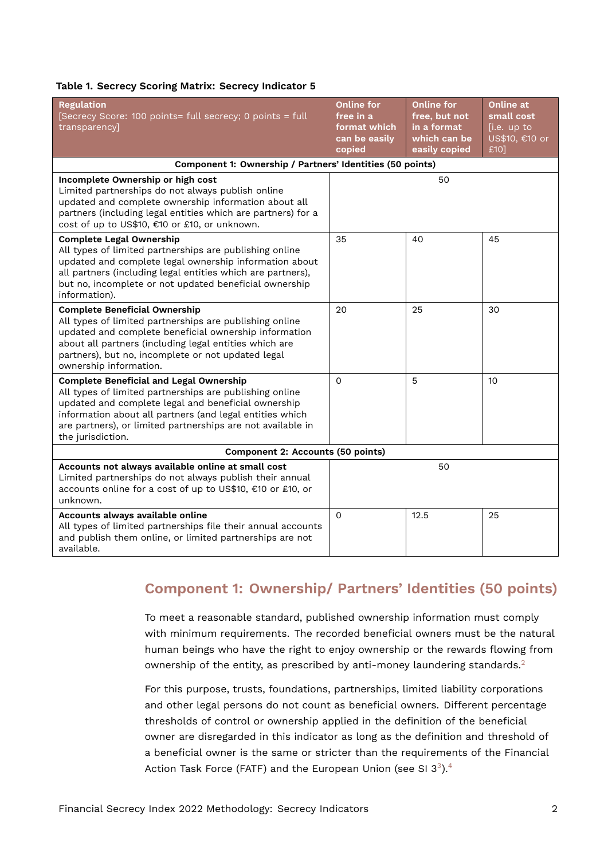#### <span id="page-1-0"></span>**Table 1. Secrecy Scoring Matrix: Secrecy Indicator 5**

| <b>Regulation</b><br>[Secrecy Score: 100 points= full secrecy; 0 points = full<br>transparency]                                                                                                                                                                                                                  | <b>Online for</b><br>free in a<br>format which<br>can be easily<br>copied | <b>Online for</b><br>free, but not<br>in a format<br>which can be<br>easily copied | Online at<br>small cost<br>[i.e. up to<br>US\$10, €10 or<br>£10] |
|------------------------------------------------------------------------------------------------------------------------------------------------------------------------------------------------------------------------------------------------------------------------------------------------------------------|---------------------------------------------------------------------------|------------------------------------------------------------------------------------|------------------------------------------------------------------|
| Component 1: Ownership / Partners' Identities (50 points)                                                                                                                                                                                                                                                        |                                                                           |                                                                                    |                                                                  |
| Incomplete Ownership or high cost<br>Limited partnerships do not always publish online<br>updated and complete ownership information about all<br>partners (including legal entities which are partners) for a<br>cost of up to US\$10, €10 or £10, or unknown.                                                  |                                                                           | 50                                                                                 |                                                                  |
| <b>Complete Legal Ownership</b><br>All types of limited partnerships are publishing online<br>updated and complete legal ownership information about<br>all partners (including legal entities which are partners),<br>but no, incomplete or not updated beneficial ownership<br>information).                   | 35                                                                        | 40                                                                                 | 45                                                               |
| <b>Complete Beneficial Ownership</b><br>All types of limited partnerships are publishing online<br>updated and complete beneficial ownership information<br>about all partners (including legal entities which are<br>partners), but no, incomplete or not updated legal<br>ownership information.               | 20                                                                        | 25                                                                                 | 30                                                               |
| <b>Complete Beneficial and Legal Ownership</b><br>All types of limited partnerships are publishing online<br>updated and complete legal and beneficial ownership<br>information about all partners (and legal entities which<br>are partners), or limited partnerships are not available in<br>the jurisdiction. | 0                                                                         | 5                                                                                  | 10                                                               |
| <b>Component 2: Accounts (50 points)</b>                                                                                                                                                                                                                                                                         |                                                                           |                                                                                    |                                                                  |
| Accounts not always available online at small cost<br>Limited partnerships do not always publish their annual<br>accounts online for a cost of up to US\$10, €10 or £10, or<br>unknown.                                                                                                                          |                                                                           | 50                                                                                 |                                                                  |
| Accounts always available online<br>All types of limited partnerships file their annual accounts<br>and publish them online, or limited partnerships are not<br>available.                                                                                                                                       | $\mathsf{O}$                                                              | 12.5                                                                               | 25                                                               |

# **Component 1: Ownership/ Partners' Identities (50 points)**

To meet a reasonable standard, published ownership information must comply with minimum requirements. The recorded beneficial owners must be the natural human beings who have the right to enjoy ownership or the rewards flowing from ownership of the entity, as prescribed by anti-money laundering standards.<sup>[2](#page-13-1)</sup>

<span id="page-1-3"></span><span id="page-1-2"></span><span id="page-1-1"></span>For this purpose, trusts, foundations, partnerships, limited liability corporations and other legal persons do not count as beneficial owners. Different percentage thresholds of control or ownership applied in the definition of the beneficial owner are disregarded in this indicator as long as the definition and threshold of a beneficial owner is the same or stricter than the requirements of the Financial Action Task Force (FATF) and the European Union (see SI [3](#page-13-2) $^3$ ). $^4$  $^4$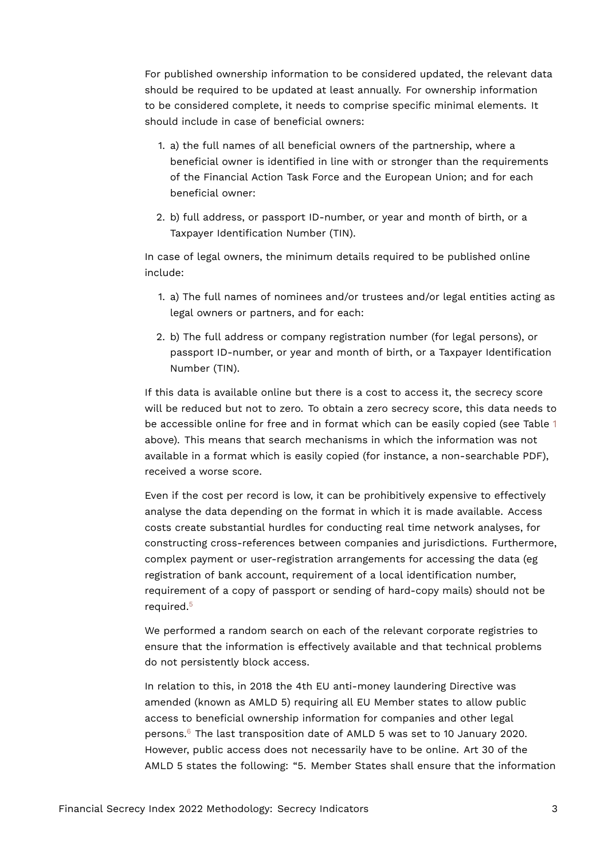For published ownership information to be considered updated, the relevant data should be required to be updated at least annually. For ownership information to be considered complete, it needs to comprise specific minimal elements. It should include in case of beneficial owners:

- 1. a) the full names of all beneficial owners of the partnership, where a beneficial owner is identified in line with or stronger than the requirements of the Financial Action Task Force and the European Union; and for each beneficial owner:
- 2. b) full address, or passport ID-number, or year and month of birth, or a Taxpayer Identification Number (TIN).

In case of legal owners, the minimum details required to be published online include:

- 1. a) The full names of nominees and/or trustees and/or legal entities acting as legal owners or partners, and for each:
- 2. b) The full address or company registration number (for legal persons), or passport ID-number, or year and month of birth, or a Taxpayer Identification Number (TIN).

If this data is available online but there is a cost to access it, the secrecy score will be reduced but not to zero. To obtain a zero secrecy score, this data needs to be accessible online for free and in format which can be easily copied (see Table [1](#page-1-0) above). This means that search mechanisms in which the information was not available in a format which is easily copied (for instance, a non-searchable PDF), received a worse score.

Even if the cost per record is low, it can be prohibitively expensive to effectively analyse the data depending on the format in which it is made available. Access costs create substantial hurdles for conducting real time network analyses, for constructing cross-references between companies and jurisdictions. Furthermore, complex payment or user-registration arrangements for accessing the data (eg registration of bank account, requirement of a local identification number, requirement of a copy of passport or sending of hard-copy mails) should not be required.[5](#page-13-4)

<span id="page-2-0"></span>We performed a random search on each of the relevant corporate registries to ensure that the information is effectively available and that technical problems do not persistently block access.

<span id="page-2-1"></span>In relation to this, in 2018 the 4th EU anti-money laundering Directive was amended (known as AMLD 5) requiring all EU Member states to allow public access to beneficial ownership information for companies and other legal persons.[6](#page-13-5) The last transposition date of AMLD 5 was set to 10 January 2020. However, public access does not necessarily have to be online. Art 30 of the AMLD 5 states the following: "5. Member States shall ensure that the information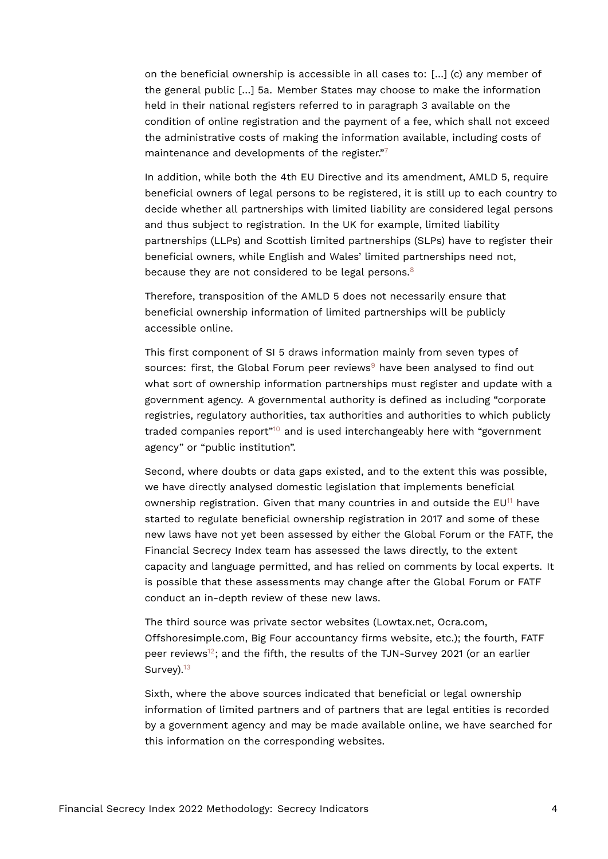on the beneficial ownership is accessible in all cases to: […] (c) any member of the general public […] 5a. Member States may choose to make the information held in their national registers referred to in paragraph 3 available on the condition of online registration and the payment of a fee, which shall not exceed the administrative costs of making the information available, including costs of maintenance and developments of the register." $\frac{7}{1}$  $\frac{7}{1}$  $\frac{7}{1}$ 

<span id="page-3-0"></span>In addition, while both the 4th EU Directive and its amendment, AMLD 5, require beneficial owners of legal persons to be registered, it is still up to each country to decide whether all partnerships with limited liability are considered legal persons and thus subject to registration. In the UK for example, limited liability partnerships (LLPs) and Scottish limited partnerships (SLPs) have to register their beneficial owners, while English and Wales' limited partnerships need not, because they are not considered to be legal persons.<sup>[8](#page-13-7)</sup>

<span id="page-3-1"></span>Therefore, transposition of the AMLD 5 does not necessarily ensure that beneficial ownership information of limited partnerships will be publicly accessible online.

<span id="page-3-2"></span>This first component of SI 5 draws information mainly from seven types of sources: first, the Global Forum peer reviews $9$  have been analysed to find out what sort of ownership information partnerships must register and update with a government agency. A governmental authority is defined as including "corporate registries, regulatory authorities, tax authorities and authorities to which publicly traded companies report"<sup>[10](#page-14-0)</sup> and is used interchangeably here with "government agency" or "public institution".

<span id="page-3-4"></span><span id="page-3-3"></span>Second, where doubts or data gaps existed, and to the extent this was possible, we have directly analysed domestic legislation that implements beneficial ownership registration. Given that many countries in and outside the  $EU<sup>11</sup>$  $EU<sup>11</sup>$  $EU<sup>11</sup>$  have started to regulate beneficial ownership registration in 2017 and some of these new laws have not yet been assessed by either the Global Forum or the FATF, the Financial Secrecy Index team has assessed the laws directly, to the extent capacity and language permitted, and has relied on comments by local experts. It is possible that these assessments may change after the Global Forum or FATF conduct an in-depth review of these new laws.

<span id="page-3-5"></span>The third source was private sector websites (Lowtax.net, Ocra.com, Offshoresimple.com, Big Four accountancy firms website, etc.); the fourth, FATF peer reviews<sup>[12](#page-14-2)</sup>; and the fifth, the results of the TJN-Survey 2021 (or an earlier Survey).<sup>[13](#page-14-3)</sup>

<span id="page-3-6"></span>Sixth, where the above sources indicated that beneficial or legal ownership information of limited partners and of partners that are legal entities is recorded by a government agency and may be made available online, we have searched for this information on the corresponding websites.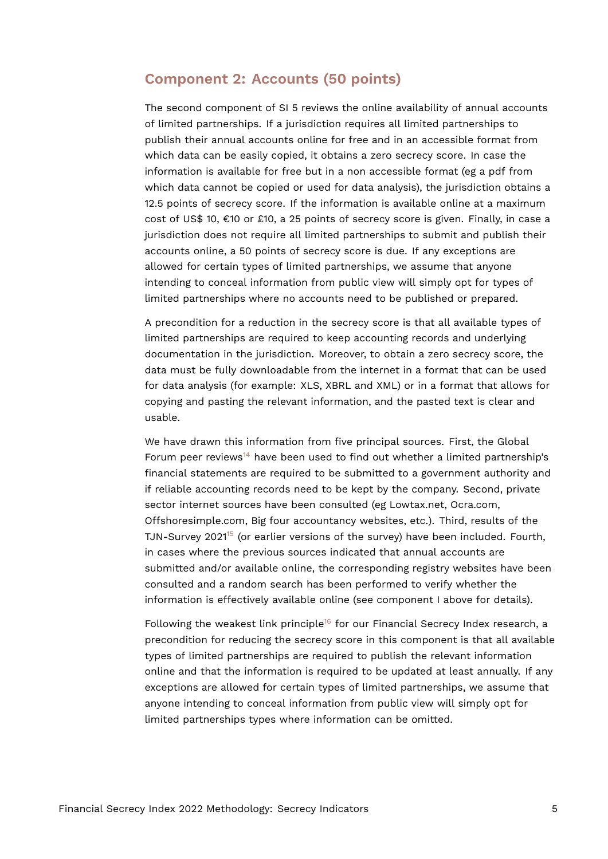## **Component 2: Accounts (50 points)**

The second component of SI 5 reviews the online availability of annual accounts of limited partnerships. If a jurisdiction requires all limited partnerships to publish their annual accounts online for free and in an accessible format from which data can be easily copied, it obtains a zero secrecy score. In case the information is available for free but in a non accessible format (eg a pdf from which data cannot be copied or used for data analysis), the jurisdiction obtains a 12.5 points of secrecy score. If the information is available online at a maximum cost of US\$ 10, €10 or £10, a 25 points of secrecy score is given. Finally, in case a jurisdiction does not require all limited partnerships to submit and publish their accounts online, a 50 points of secrecy score is due. If any exceptions are allowed for certain types of limited partnerships, we assume that anyone intending to conceal information from public view will simply opt for types of limited partnerships where no accounts need to be published or prepared.

A precondition for a reduction in the secrecy score is that all available types of limited partnerships are required to keep accounting records and underlying documentation in the jurisdiction. Moreover, to obtain a zero secrecy score, the data must be fully downloadable from the internet in a format that can be used for data analysis (for example: XLS, XBRL and XML) or in a format that allows for copying and pasting the relevant information, and the pasted text is clear and usable.

<span id="page-4-0"></span>We have drawn this information from five principal sources. First, the Global Forum peer reviews<sup>[14](#page-14-4)</sup> have been used to find out whether a limited partnership's financial statements are required to be submitted to a government authority and if reliable accounting records need to be kept by the company. Second, private sector internet sources have been consulted (eg Lowtax.net, Ocra.com, Offshoresimple.com, Big four accountancy websites, etc.). Third, results of the TJN-Survey 2021<sup>[15](#page-14-5)</sup> (or earlier versions of the survey) have been included. Fourth, in cases where the previous sources indicated that annual accounts are submitted and/or available online, the corresponding registry websites have been consulted and a random search has been performed to verify whether the information is effectively available online (see component I above for details).

<span id="page-4-2"></span><span id="page-4-1"></span>Following the weakest link principle<sup>[16](#page-14-6)</sup> for our Financial Secrecy Index research, a precondition for reducing the secrecy score in this component is that all available types of limited partnerships are required to publish the relevant information online and that the information is required to be updated at least annually. If any exceptions are allowed for certain types of limited partnerships, we assume that anyone intending to conceal information from public view will simply opt for limited partnerships types where information can be omitted.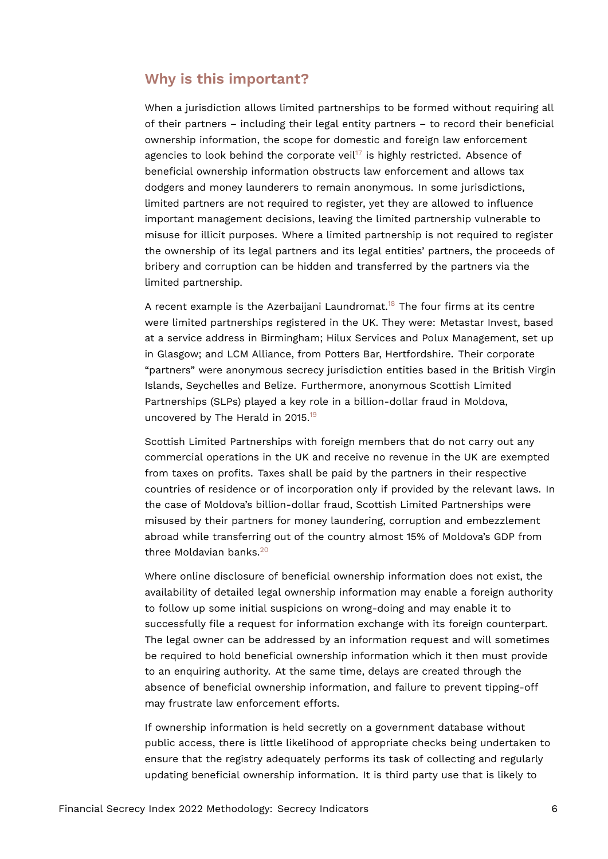# **Why is this important?**

<span id="page-5-0"></span>When a jurisdiction allows limited partnerships to be formed without requiring all of their partners – including their legal entity partners – to record their beneficial ownership information, the scope for domestic and foreign law enforcement agencies to look behind the corporate veil<sup>[17](#page-14-7)</sup> is highly restricted. Absence of beneficial ownership information obstructs law enforcement and allows tax dodgers and money launderers to remain anonymous. In some jurisdictions, limited partners are not required to register, yet they are allowed to influence important management decisions, leaving the limited partnership vulnerable to misuse for illicit purposes. Where a limited partnership is not required to register the ownership of its legal partners and its legal entities' partners, the proceeds of bribery and corruption can be hidden and transferred by the partners via the limited partnership.

<span id="page-5-1"></span>A recent example is the Azerbaijani Laundromat.<sup>[18](#page-14-8)</sup> The four firms at its centre were limited partnerships registered in the UK. They were: Metastar Invest, based at a service address in Birmingham; Hilux Services and Polux Management, set up in Glasgow; and LCM Alliance, from Potters Bar, Hertfordshire. Their corporate "partners" were anonymous secrecy jurisdiction entities based in the British Virgin Islands, Seychelles and Belize. Furthermore, anonymous Scottish Limited Partnerships (SLPs) played a key role in a billion-dollar fraud in Moldova, uncovered by The Herald in 2015.<sup>[19](#page-14-9)</sup>

<span id="page-5-2"></span>Scottish Limited Partnerships with foreign members that do not carry out any commercial operations in the UK and receive no revenue in the UK are exempted from taxes on profits. Taxes shall be paid by the partners in their respective countries of residence or of incorporation only if provided by the relevant laws. In the case of Moldova's billion-dollar fraud, Scottish Limited Partnerships were misused by their partners for money laundering, corruption and embezzlement abroad while transferring out of the country almost 15% of Moldova's GDP from three Moldavian banks.<sup>[20](#page-15-0)</sup>

<span id="page-5-3"></span>Where online disclosure of beneficial ownership information does not exist, the availability of detailed legal ownership information may enable a foreign authority to follow up some initial suspicions on wrong-doing and may enable it to successfully file a request for information exchange with its foreign counterpart. The legal owner can be addressed by an information request and will sometimes be required to hold beneficial ownership information which it then must provide to an enquiring authority. At the same time, delays are created through the absence of beneficial ownership information, and failure to prevent tipping-off may frustrate law enforcement efforts.

If ownership information is held secretly on a government database without public access, there is little likelihood of appropriate checks being undertaken to ensure that the registry adequately performs its task of collecting and regularly updating beneficial ownership information. It is third party use that is likely to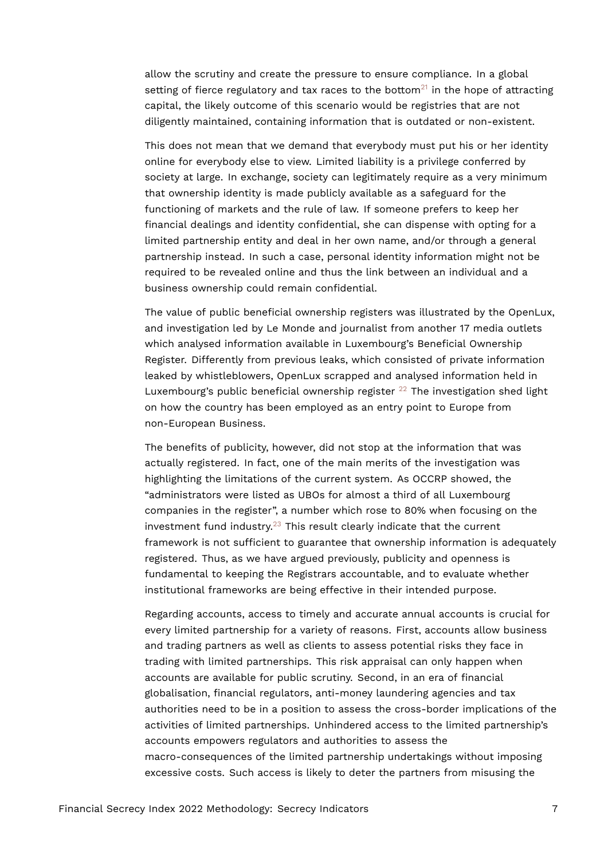<span id="page-6-0"></span>allow the scrutiny and create the pressure to ensure compliance. In a global setting of fierce regulatory and tax races to the bottom<sup>[21](#page-15-1)</sup> in the hope of attracting capital, the likely outcome of this scenario would be registries that are not diligently maintained, containing information that is outdated or non-existent.

This does not mean that we demand that everybody must put his or her identity online for everybody else to view. Limited liability is a privilege conferred by society at large. In exchange, society can legitimately require as a very minimum that ownership identity is made publicly available as a safeguard for the functioning of markets and the rule of law. If someone prefers to keep her financial dealings and identity confidential, she can dispense with opting for a limited partnership entity and deal in her own name, and/or through a general partnership instead. In such a case, personal identity information might not be required to be revealed online and thus the link between an individual and a business ownership could remain confidential.

The value of public beneficial ownership registers was illustrated by the OpenLux, and investigation led by Le Monde and journalist from another 17 media outlets which analysed information available in Luxembourg's Beneficial Ownership Register. Differently from previous leaks, which consisted of private information leaked by whistleblowers, OpenLux scrapped and analysed information held in Luxembourg's public beneficial ownership register  $^{22}$  $^{22}$  $^{22}$  The investigation shed light on how the country has been employed as an entry point to Europe from non-European Business.

<span id="page-6-2"></span><span id="page-6-1"></span>The benefits of publicity, however, did not stop at the information that was actually registered. In fact, one of the main merits of the investigation was highlighting the limitations of the current system. As OCCRP showed, the "administrators were listed as UBOs for almost a third of all Luxembourg companies in the register", a number which rose to 80% when focusing on the investment fund industry. $23$  This result clearly indicate that the current framework is not sufficient to guarantee that ownership information is adequately registered. Thus, as we have argued previously, publicity and openness is fundamental to keeping the Registrars accountable, and to evaluate whether institutional frameworks are being effective in their intended purpose.

Regarding accounts, access to timely and accurate annual accounts is crucial for every limited partnership for a variety of reasons. First, accounts allow business and trading partners as well as clients to assess potential risks they face in trading with limited partnerships. This risk appraisal can only happen when accounts are available for public scrutiny. Second, in an era of financial globalisation, financial regulators, anti-money laundering agencies and tax authorities need to be in a position to assess the cross-border implications of the activities of limited partnerships. Unhindered access to the limited partnership's accounts empowers regulators and authorities to assess the macro-consequences of the limited partnership undertakings without imposing excessive costs. Such access is likely to deter the partners from misusing the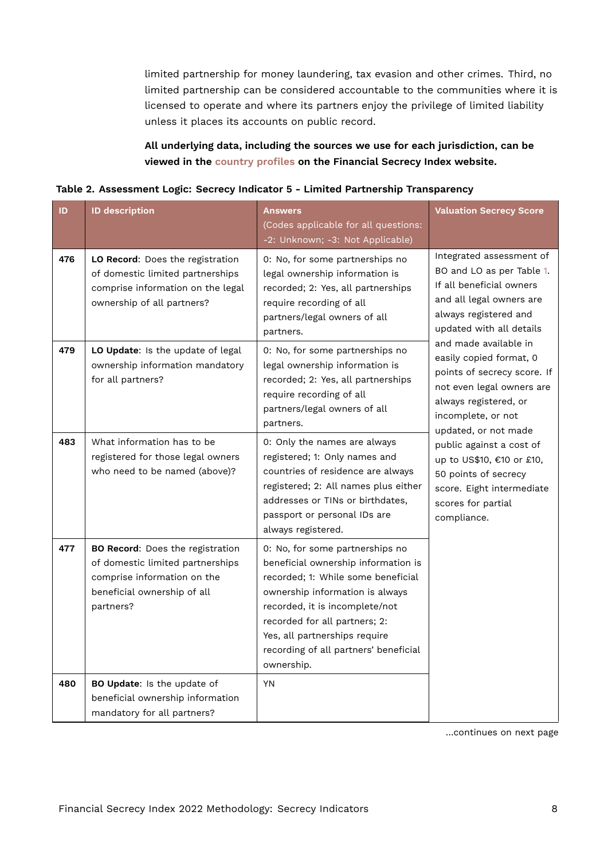limited partnership for money laundering, tax evasion and other crimes. Third, no limited partnership can be considered accountable to the communities where it is licensed to operate and where its partners enjoy the privilege of limited liability unless it places its accounts on public record.

## <span id="page-7-0"></span>**All underlying data, including the sources we use for each jurisdiction, can be viewed in the [country profiles](https://fsi.taxjustice.net/country-detail) on the Financial Secrecy Index website.**

| Table 2. Assessment Logic: Secrecy Indicator 5 - Limited Partnership Transparency |  |  |  |
|-----------------------------------------------------------------------------------|--|--|--|
|                                                                                   |  |  |  |

| ID  | <b>ID description</b>                                                                                                                                  | <b>Answers</b><br>(Codes applicable for all questions:<br>-2: Unknown; -3: Not Applicable)                                                                                                                                                                                                                 | <b>Valuation Secrecy Score</b>                                                                                                                                                      |
|-----|--------------------------------------------------------------------------------------------------------------------------------------------------------|------------------------------------------------------------------------------------------------------------------------------------------------------------------------------------------------------------------------------------------------------------------------------------------------------------|-------------------------------------------------------------------------------------------------------------------------------------------------------------------------------------|
| 476 | LO Record: Does the registration<br>of domestic limited partnerships<br>comprise information on the legal<br>ownership of all partners?                | 0: No, for some partnerships no<br>legal ownership information is<br>recorded; 2: Yes, all partnerships<br>require recording of all<br>partners/legal owners of all<br>partners.                                                                                                                           | Integrated assessment of<br>BO and LO as per Table 1.<br>If all beneficial owners<br>and all legal owners are<br>always registered and<br>updated with all details                  |
| 479 | LO Update: Is the update of legal<br>ownership information mandatory<br>for all partners?                                                              | 0: No, for some partnerships no<br>legal ownership information is<br>recorded; 2: Yes, all partnerships<br>require recording of all<br>partners/legal owners of all<br>partners.                                                                                                                           | and made available in<br>easily copied format, 0<br>points of secrecy score. If<br>not even legal owners are<br>always registered, or<br>incomplete, or not<br>updated, or not made |
| 483 | What information has to be<br>registered for those legal owners<br>who need to be named (above)?                                                       | 0: Only the names are always<br>registered; 1: Only names and<br>countries of residence are always<br>registered; 2: All names plus either<br>addresses or TINs or birthdates,<br>passport or personal IDs are<br>always registered.                                                                       | public against a cost of<br>up to US\$10, €10 or £10,<br>50 points of secrecy<br>score. Eight intermediate<br>scores for partial<br>compliance.                                     |
| 477 | <b>BO Record:</b> Does the registration<br>of domestic limited partnerships<br>comprise information on the<br>beneficial ownership of all<br>partners? | 0: No, for some partnerships no<br>beneficial ownership information is<br>recorded; 1: While some beneficial<br>ownership information is always<br>recorded, it is incomplete/not<br>recorded for all partners; 2:<br>Yes, all partnerships require<br>recording of all partners' beneficial<br>ownership. |                                                                                                                                                                                     |
| 480 | BO Update: Is the update of<br>beneficial ownership information<br>mandatory for all partners?                                                         | <b>YN</b>                                                                                                                                                                                                                                                                                                  |                                                                                                                                                                                     |

…continues on next page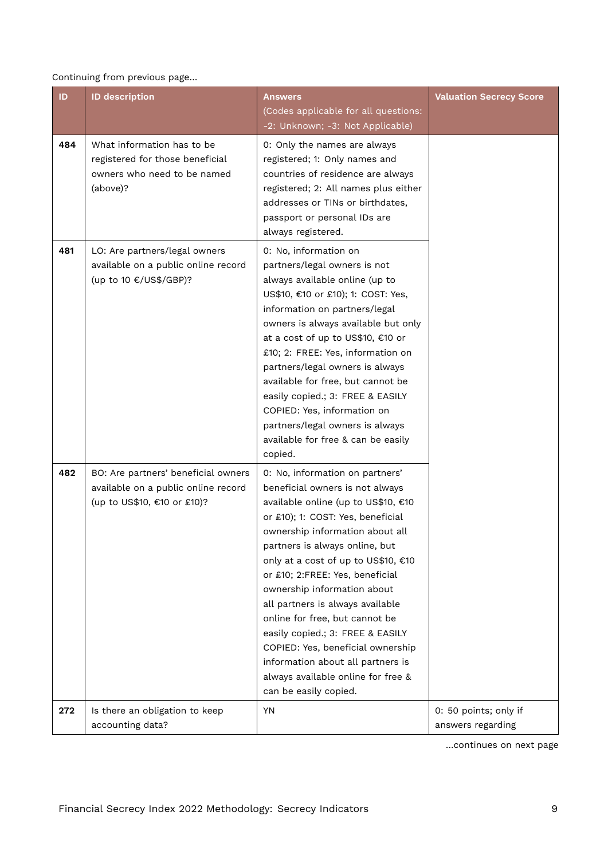#### Continuing from previous page…

| ID  | <b>ID description</b>                                                                                     | <b>Answers</b>                                                                                                                                                                                                                                                                                                                                                                                                                                                                                                                                                                  | <b>Valuation Secrecy Score</b>             |
|-----|-----------------------------------------------------------------------------------------------------------|---------------------------------------------------------------------------------------------------------------------------------------------------------------------------------------------------------------------------------------------------------------------------------------------------------------------------------------------------------------------------------------------------------------------------------------------------------------------------------------------------------------------------------------------------------------------------------|--------------------------------------------|
|     |                                                                                                           | (Codes applicable for all questions:<br>-2: Unknown; -3: Not Applicable)                                                                                                                                                                                                                                                                                                                                                                                                                                                                                                        |                                            |
| 484 | What information has to be<br>registered for those beneficial<br>owners who need to be named<br>(above)?  | 0: Only the names are always<br>registered; 1: Only names and<br>countries of residence are always<br>registered; 2: All names plus either<br>addresses or TINs or birthdates,<br>passport or personal IDs are<br>always registered.                                                                                                                                                                                                                                                                                                                                            |                                            |
| 481 | LO: Are partners/legal owners<br>available on a public online record<br>(up to 10 €/US\$/GBP)?            | 0: No, information on<br>partners/legal owners is not<br>always available online (up to<br>US\$10, €10 or £10); 1: COST: Yes,<br>information on partners/legal<br>owners is always available but only<br>at a cost of up to US\$10, €10 or<br>£10; 2: FREE: Yes, information on<br>partners/legal owners is always<br>available for free, but cannot be<br>easily copied.; 3: FREE & EASILY<br>COPIED: Yes, information on<br>partners/legal owners is always<br>available for free & can be easily<br>copied.                                                                  |                                            |
| 482 | BO: Are partners' beneficial owners<br>available on a public online record<br>(up to US\$10, €10 or £10)? | 0: No, information on partners'<br>beneficial owners is not always<br>available online (up to US\$10, €10<br>or £10); 1: COST: Yes, beneficial<br>ownership information about all<br>partners is always online, but<br>only at a cost of up to US\$10, €10<br>or £10; 2:FREE: Yes, beneficial<br>ownership information about<br>all partners is always available<br>online for free, but cannot be<br>easily copied.; 3: FREE & EASILY<br>COPIED: Yes, beneficial ownership<br>information about all partners is<br>always available online for free &<br>can be easily copied. |                                            |
| 272 | Is there an obligation to keep<br>accounting data?                                                        | YN                                                                                                                                                                                                                                                                                                                                                                                                                                                                                                                                                                              | 0: 50 points; only if<br>answers regarding |

…continues on next page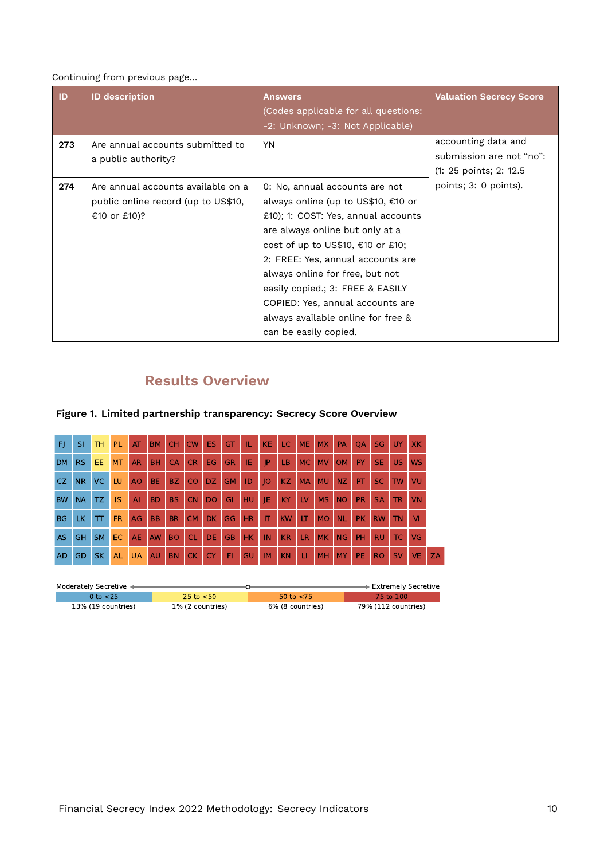#### Continuing from previous page…

| ID  | <b>ID description</b>                                                                     | <b>Answers</b><br>(Codes applicable for all questions:<br>-2: Unknown; -3: Not Applicable)                                                                                                                                                                                                                                                                                                          | <b>Valuation Secrecy Score</b>                                            |
|-----|-------------------------------------------------------------------------------------------|-----------------------------------------------------------------------------------------------------------------------------------------------------------------------------------------------------------------------------------------------------------------------------------------------------------------------------------------------------------------------------------------------------|---------------------------------------------------------------------------|
| 273 | Are annual accounts submitted to<br>a public authority?                                   | <b>YN</b>                                                                                                                                                                                                                                                                                                                                                                                           | accounting data and<br>submission are not "no":<br>(1: 25 points; 2: 12.5 |
| 274 | Are annual accounts available on a<br>public online record (up to US\$10,<br>€10 or £10)? | 0: No, annual accounts are not<br>always online (up to US\$10, €10 or<br>£10); 1: COST: Yes, annual accounts<br>are always online but only at a<br>cost of up to US\$10, €10 or £10;<br>2: FREE: Yes, annual accounts are<br>always online for free, but not<br>easily copied.; 3: FREE & EASILY<br>COPIED: Yes, annual accounts are<br>always available online for free &<br>can be easily copied. | points; 3: 0 points).                                                     |

# **Results Overview**

| F         | SI             | <b>TH</b> | PL.       | AT             | <b>BM</b> | CH CW     |                | ES.            | <b>GT</b> | т.  | KE        | LC.       | <b>ME</b> | <b>MX</b> | PA        | <b>OA</b> | <b>SG</b> | <b>UY</b> | <b>XK</b> |    |
|-----------|----------------|-----------|-----------|----------------|-----------|-----------|----------------|----------------|-----------|-----|-----------|-----------|-----------|-----------|-----------|-----------|-----------|-----------|-----------|----|
| <b>DM</b> | RS.            | EE.       | <b>MT</b> | AR.            | <b>BH</b> | <b>CA</b> | <b>CR</b>      | EG.            | <b>GR</b> | IE  | JP        | LB.       | <b>MC</b> | <b>MV</b> | <b>OM</b> | PY        | <b>SE</b> | US.       | <b>WS</b> |    |
| CZ.       | N <sub>R</sub> | VC.       | LU        | A <sub>O</sub> | BE.       | BZ.       | <sub>c</sub> o | DZ.            | <b>GM</b> | ID  | 0         | KZ        | <b>MA</b> | <b>MU</b> | NZ.       | PT.       | SC.       | <b>TW</b> | VU        |    |
| <b>BW</b> | <b>NA</b>      | TZ.       | <b>IS</b> | $\mathsf{A}$   | <b>BD</b> | <b>BS</b> | <b>CN</b>      | D <sub>O</sub> | GI        | HU. | JE.       | KY        | LV        | <b>MS</b> | <b>NO</b> | <b>PR</b> | <b>SA</b> | <b>TR</b> | <b>VN</b> |    |
| <b>BG</b> | LK.            | $\top$    | <b>FR</b> | AG             | <b>BB</b> | <b>BR</b> | <b>CM</b>      | DK.            | GG        | HR  | IT.       | <b>KW</b> | LT        | <b>MO</b> | <b>NL</b> | PK.       | <b>RW</b> | <b>TN</b> | <b>VI</b> |    |
| <b>AS</b> | <b>GH</b>      | <b>SM</b> | EC.       | AE             | AW        | <b>BO</b> | <b>CL</b>      | DE.            | <b>GB</b> | HK. | IN        | <b>KR</b> | LR        | <b>MK</b> | NG        | PH        | <b>RU</b> | TC.       | VG        |    |
| <b>AD</b> | GD.            | SK.       | AL        | <b>UA</b>      | <b>AU</b> | <b>BN</b> | CK.            | <b>CY</b>      | F1        | GU  | <b>IM</b> | <b>KN</b> | H         | <b>MH</b> | <b>MY</b> | PE.       | <b>RO</b> | <b>SV</b> | VE.       | ZA |
|           |                |           |           |                |           |           |                |                |           |     |           |           |           |           |           |           |           |           |           |    |

# **Figure 1. Limited partnership transparency: Secrecy Score Overview**

| Moderately Secretive < |                  |                  | ∙ Extremely Secretive |
|------------------------|------------------|------------------|-----------------------|
| 0 to $<$ 25            | 25 to $<$ 50     | 50 to $<$ 75     | 75 to 100             |
| 13% (19 countries)     | 1% (2 countries) | 6% (8 countries) | 79% (112 countries)   |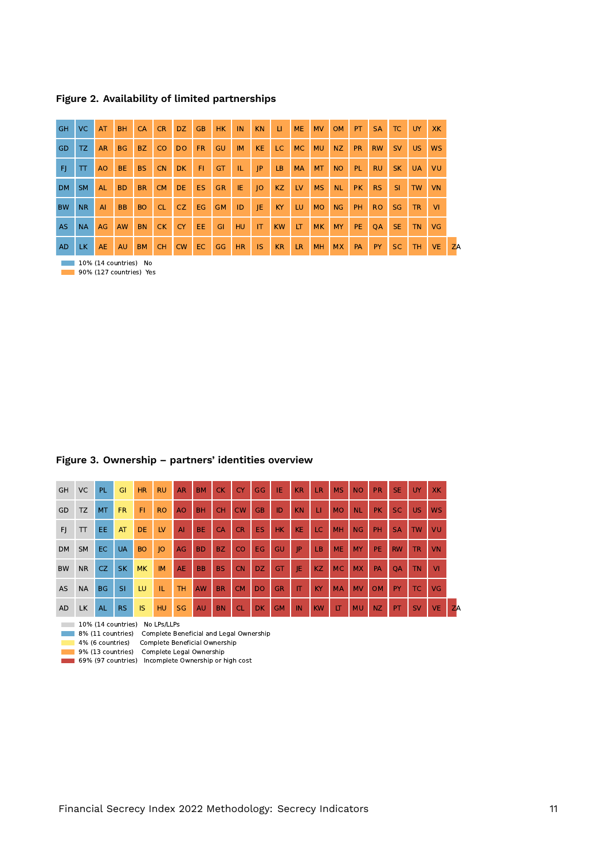**Figure 2. Availability of limited partnerships**

| <b>GH</b> | VC.          | AT             | <b>BH</b> | <b>CA</b> | <b>CR</b> | DZ.       | <b>GB</b> | HK.       | IN        | <b>KN</b> | -LI-      | <b>ME</b>               | <b>MV</b> | <b>OM</b> | PT.       | <b>SA</b> | TC.       | UY .      | <b>XK</b> |
|-----------|--------------|----------------|-----------|-----------|-----------|-----------|-----------|-----------|-----------|-----------|-----------|-------------------------|-----------|-----------|-----------|-----------|-----------|-----------|-----------|
| <b>GD</b> | TZ.          | <b>AR</b>      | <b>BG</b> | BZ        | CO.       | <b>DO</b> | FR.       | GU        | <b>IM</b> | <b>KE</b> | LC.       | <b>MC</b>               | <b>MU</b> | NZ.       | <b>PR</b> | <b>RW</b> | SV        | US.       | <b>WS</b> |
| F1        | $\mathsf{T}$ | A <sub>O</sub> | BE.       | <b>BS</b> | <b>CN</b> | DK.       | F1        | GT        | TL.       | P         | LB.       | <b>MA</b>               | MT        | <b>NO</b> | PL.       | <b>RU</b> | <b>SK</b> | <b>UA</b> | VU        |
| DM.       | <b>SM</b>    | <b>AL</b>      | BD.       | <b>BR</b> | <b>CM</b> | DE.       | ES.       | <b>GR</b> | IE.       | O         | KZ        | $\mathsf{L} \mathsf{V}$ | <b>MS</b> | NL.       | <b>PK</b> | RS        | SI.       | TW        | <b>VN</b> |
| <b>BW</b> | <b>NR</b>    | AI             | <b>BB</b> | <b>BO</b> | CL.       | CZ.       | EG.       | <b>GM</b> | ID        | IE.       | KY        | LU.                     | <b>MO</b> | <b>NG</b> | PH.       | RO.       | SG        | TR.       | <b>VI</b> |
| <b>AS</b> | <b>NA</b>    | AG             | AW        | <b>BN</b> | CK        | CY        | EE.       | GI        | HU        | IT        | <b>KW</b> | LT.                     | <b>MK</b> | <b>MY</b> | PE.       | OA        | SE.       | <b>TN</b> | <b>VG</b> |
| <b>AD</b> | LK.          | <b>AE</b>      | <b>AU</b> | <b>BM</b> | <b>CH</b> | <b>CW</b> | EC.       | GG        | <b>HR</b> | IS.       | KR        | LR.                     | <b>MH</b> | <b>MX</b> | PA        | <b>PY</b> | <b>SC</b> | TH.       | <b>VE</b> |

10% (14 countries) No

#### **127 countries)** Yes

#### **Figure 3. Ownership – partners' identities overview**

| GH             | <b>VC</b>                      | PL.       | GI        | <b>HR</b> | <b>RU</b>   | <b>AR</b>      | <b>BM</b> | <b>CK</b> | <b>CY</b> | GG        | IE        | <b>KR</b> | LR        | <b>MS</b> | <b>NO</b> | <b>PR</b> | <b>SE</b> | UY        | <b>XK</b> |           |
|----------------|--------------------------------|-----------|-----------|-----------|-------------|----------------|-----------|-----------|-----------|-----------|-----------|-----------|-----------|-----------|-----------|-----------|-----------|-----------|-----------|-----------|
| GD             | <b>TZ</b>                      | <b>MT</b> | <b>FR</b> | FI        | <b>RO</b>   | A <sub>O</sub> | <b>BH</b> | <b>CH</b> | <b>CW</b> | <b>GB</b> | ID        | <b>KN</b> | П         | <b>MO</b> | <b>NL</b> | <b>PK</b> | SC        | <b>US</b> | <b>WS</b> |           |
| F <sub>1</sub> | T                              | EE.       | AT        | DE        | LV          | AI             | <b>BE</b> | CA        | <b>CR</b> | <b>ES</b> | HK.       | <b>KE</b> | LC        | <b>MH</b> | NG        | PH        | <b>SA</b> | <b>TW</b> | VU        |           |
| <b>DM</b>      | <b>SM</b>                      | <b>EC</b> | <b>UA</b> | <b>BO</b> | $ 0\rangle$ | AG             | <b>BD</b> | <b>BZ</b> | CO        | <b>EG</b> | GU        | IP        | LB        | <b>ME</b> | <b>MY</b> | PE        | <b>RW</b> | <b>TR</b> | <b>VN</b> |           |
| <b>BW</b>      | <b>NR</b>                      | CZ        | <b>SK</b> | <b>MK</b> | <b>IM</b>   | <b>AE</b>      | <b>BB</b> | <b>BS</b> | <b>CN</b> | <b>DZ</b> | GT        | IE        | KZ.       | <b>MC</b> | <b>MX</b> | PA        | QA        | <b>TN</b> | <b>VI</b> |           |
| AS             | <b>NA</b>                      | <b>BG</b> | SI        | LU        | TL.         | <b>TH</b>      | AW        | <b>BR</b> | <b>CM</b> | <b>DO</b> | <b>GR</b> | IT        | KY        | <b>MA</b> | <b>MV</b> | <b>OM</b> | PY        | <b>TC</b> | <b>VG</b> |           |
| <b>AD</b>      | <b>LK</b>                      | <b>AL</b> | <b>RS</b> | IS        | HU          | <b>SG</b>      | <b>AU</b> | <b>BN</b> | <b>CL</b> | <b>DK</b> | <b>GM</b> | IN        | <b>KW</b> | LT        | <b>MU</b> | <b>NZ</b> | PT        | SV        | <b>VE</b> | <b>ZA</b> |
|                | 10% (14 countries) No LPs/LLPs |           |           |           |             |                |           |           |           |           |           |           |           |           |           |           |           |           |           |           |

8% (11 countries) Complete Beneficial and Legal Ownership

4% (6 countries) Complete Beneficial Ownership

9% (13 countries) Complete Legal Ownership

69% (97 countries) Incomplete Ownership or high cost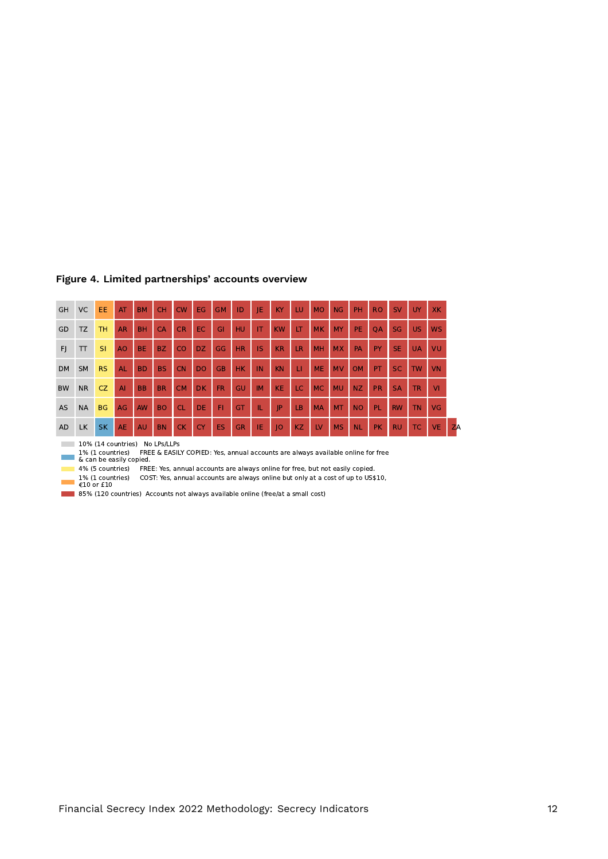| <b>GH</b> | VC                                                                                                                             | EE.       | AT             | <b>BM</b> | <b>CH</b> | CW        | EG        | <b>GM</b> | ID        | IE        | KY        | LU        | <b>MO</b> | <b>NG</b> | PH        | <b>RO</b> | SV        | UY        | <b>XK</b> |           |
|-----------|--------------------------------------------------------------------------------------------------------------------------------|-----------|----------------|-----------|-----------|-----------|-----------|-----------|-----------|-----------|-----------|-----------|-----------|-----------|-----------|-----------|-----------|-----------|-----------|-----------|
| GD        | <b>TZ</b>                                                                                                                      | <b>TH</b> | <b>AR</b>      | <b>BH</b> | CA        | <b>CR</b> | EC.       | GI        | HU        | IT        | <b>KW</b> | LТ        | <b>MK</b> | <b>MY</b> | <b>PE</b> | QA        | <b>SG</b> | <b>US</b> | <b>WS</b> |           |
| F)        | $\bm{\pi}$                                                                                                                     | <b>SI</b> | A <sub>O</sub> | <b>BE</b> | BZ.       | CO        | DZ.       | GG        | <b>HR</b> | IS        | <b>KR</b> | LR        | MH        | <b>MX</b> | PA        | PY        | <b>SE</b> | <b>UA</b> | VU        |           |
| <b>DM</b> | <b>SM</b>                                                                                                                      | <b>RS</b> | AL             | <b>BD</b> | <b>BS</b> | <b>CN</b> | <b>DO</b> | <b>GB</b> | <b>HK</b> | IN        | <b>KN</b> | П         | <b>ME</b> | <b>MV</b> | <b>OM</b> | PT        | <b>SC</b> | <b>TW</b> | <b>VN</b> |           |
| <b>BW</b> | <b>NR</b>                                                                                                                      | CZ        | AI             | <b>BB</b> | <b>BR</b> | <b>CM</b> | <b>DK</b> | <b>FR</b> | GU        | <b>IM</b> | <b>KE</b> | LC        | <b>MC</b> | <b>MU</b> | NZ.       | <b>PR</b> | <b>SA</b> | <b>TR</b> | VI.       |           |
| <b>AS</b> | <b>NA</b>                                                                                                                      | <b>BG</b> | AG             | <b>AW</b> | <b>BO</b> | <b>CL</b> | <b>DE</b> | FI        | GT        | TL.       | IP        | LB        | <b>MA</b> | <b>MT</b> | <b>NO</b> | <b>PL</b> | <b>RW</b> | <b>TN</b> | VG        |           |
| <b>AD</b> | <b>LK</b>                                                                                                                      | <b>SK</b> | AE             | <b>AU</b> | <b>BN</b> | CK.       | <b>CY</b> | <b>ES</b> | <b>GR</b> | IE        | 0         | <b>KZ</b> | LV        | <b>MS</b> | <b>NL</b> | <b>PK</b> | <b>RU</b> | <b>TC</b> | <b>VE</b> | <b>ZA</b> |
|           | 10% (14 countries)<br>No LPs/LLPs                                                                                              |           |                |           |           |           |           |           |           |           |           |           |           |           |           |           |           |           |           |           |
|           | FREE & EASILY COPIED: Yes, annual accounts are always available online for free<br>1% (1 countries)<br>& can be easily copied. |           |                |           |           |           |           |           |           |           |           |           |           |           |           |           |           |           |           |           |
|           | FREE: Yes, annual accounts are always online for free, but not easily copied.<br>4% (5 countries)                              |           |                |           |           |           |           |           |           |           |           |           |           |           |           |           |           |           |           |           |

#### **Figure 4. Limited partnerships' accounts overview**

1% (1 countries) — COST: Yes, annual accounts are always online but only at a cost of up to US\$10,<br>€10 or £10

85% (120 countries) Accounts not always available online (free/at a small cost)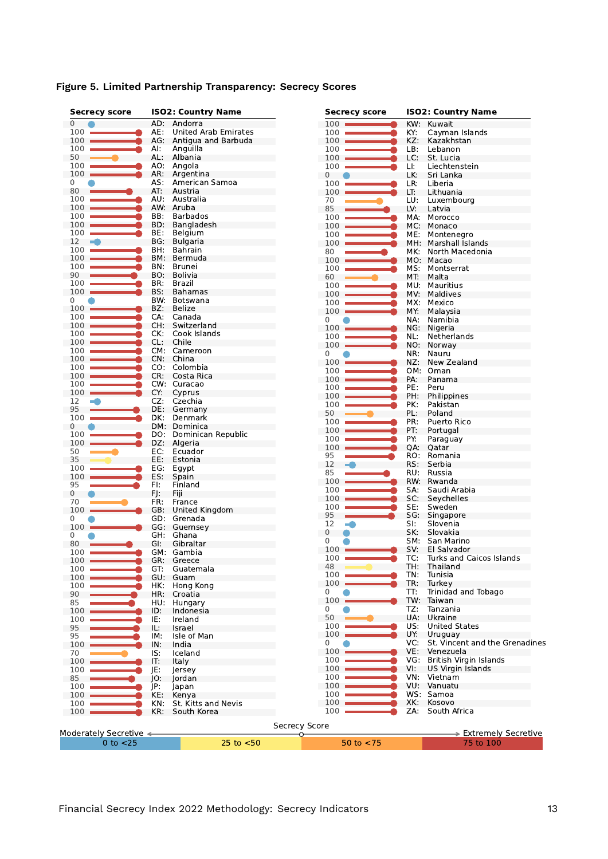| <b>Secrecy score</b>   |            | <b>ISO2: Country Name</b>       | <b>Secrecy score</b> |            | <b>ISO2: Country Name</b>                 |
|------------------------|------------|---------------------------------|----------------------|------------|-------------------------------------------|
| 0                      |            | AD: Andorra                     | 100                  | KW:        | Kuwait                                    |
| 100                    | AE:        | United Arab Emirates            | 100                  | KY:        | Cayman Islands                            |
| 100                    |            | AG: Antigua and Barbuda         | 100                  | KZ:        | Kazakhstan                                |
| 100                    | Al:        | Anguilla                        | 100                  | LB:        | Lebanon                                   |
| 50                     |            | AL: Albania                     | 100                  | LC:        | St. Lucia                                 |
| 100                    | AO:        | Angola                          | 100                  | L!         | Liechtenstein                             |
| $100 -$<br>0           | AS:        | AR: Argentina<br>American Samoa | $\mathbf 0$          | LK:        | Sri Lanka                                 |
| 80                     | AT:        | Austria                         | 100                  | LR:        | Liberia                                   |
| 100                    | AU:        | Australia                       | 100                  | LT:        | Lithuania                                 |
| 100                    | AW:        | Aruba                           | 70<br>85             | LU:<br>LV: | Luxembourg<br>Latvia                      |
| 100                    | BB:        | <b>Barbados</b>                 | 100                  | MA:        | Morocco                                   |
| 100                    | BD:        | Bangladesh                      | 100                  | MC:        | Monaco                                    |
| 100                    | BE:        | Belgium                         | 100                  | ME:        | Montenegro                                |
| 12<br>m.               | BG:        | <b>Bulgaria</b>                 | 100                  | MH:        | Marshall Islands                          |
| 100                    | BH:        | Bahrain                         | 80                   | MK:        | North Macedonia                           |
| $100 -$                | BM:        | Bermuda                         | 100                  |            | MO: Macao                                 |
| 100                    | BN:        | <b>Brunei</b>                   | 100                  | MS:        | Montserrat                                |
| 90                     | BO:        | <b>Bolivia</b>                  | 60                   | MT.        | Malta                                     |
| 100                    | BR:        | Brazil                          | 100                  | MU:        | Mauritius                                 |
| 100                    | BS:        | <b>Bahamas</b>                  | 100                  | MV:        | Maldives                                  |
| 0                      | BW.        | Botswana                        | 100                  | MX:        | Mexico                                    |
| 100                    | BZ:        | Belize                          | 100                  | MY:        | Malaysia                                  |
| 100                    | CA:        | Canada                          | 0                    | NA:        | Namibia                                   |
| 100                    | CH:        | Switzerland                     | 100                  |            | NG: Nigeria                               |
| 100                    | CK:        | Cook Islands                    | 100                  | NL:        | Netherlands                               |
| 100                    | CL:        | Chile                           | 100                  | NO:        | Norway                                    |
| 100                    |            | CM: Cameroon                    | 0                    | NR:        | Nauru                                     |
| 100                    |            | CN: China                       | 100                  | NZ:        | New Zealand                               |
| 100                    |            | CO: Colombia                    | 100                  |            | OM: Oman                                  |
| 100                    |            | CR: Costa Rica                  | 100                  | PA:        | Panama                                    |
| 100                    |            | CW: Curacao                     | 100                  | PE:        | Peru                                      |
| 100                    | CY:        | Cyprus                          | 100                  | PH:        | Philippines                               |
| 12                     | CZ:        | Czechia                         | 100                  | PK:        | Pakistan                                  |
| 95                     | DE:        | Germany                         | 50                   | PL:        | Poland                                    |
| 100                    | DK:        | Denmark                         | 100                  | PR:        | Puerto Rico                               |
| 0                      |            | DM: Dominica                    | 100                  | PT:        | Portugal                                  |
| 100                    | DO:        | Dominican Republic              | 100                  | PY:        | Paraguay                                  |
| 100<br>50              | DZ:<br>EC: | Algeria<br>Ecuador              | 100                  | QA:        | Qatar                                     |
| 35                     | EE:        | Estonia                         | 95                   | RO:        | Romania                                   |
| 100                    | EG:        | Egypt                           | 12                   | RS:        | Serbia                                    |
| 100                    | ES:        | Spain                           | 85                   | RU:        | Russia                                    |
| 95                     | FI:        | Finland                         | 100                  |            | RW: Rwanda                                |
| 0                      | FJ:        | Fiji                            | 100                  | SA.        | Saudi Arabia                              |
| 70                     | FR:        | France                          | 100                  | SC:        | Seychelles                                |
| 100                    | GB:        | United Kingdom                  | 100                  | SE:        | Sweden                                    |
| 0                      |            | GD: Grenada                     | 95                   | SG:        | Singapore                                 |
| 100                    |            | GG: Guernsey                    | 12                   | SI:        | Slovenia                                  |
| 0                      | GH:        | Ghana                           | 0                    | SK:        | Slovakia                                  |
| 80                     | GI.        | Gibraltar                       | 0                    | SM:        | San Marino                                |
| 100                    |            | GM: Gambia                      | 100                  | SV:        | El Salvador                               |
| 100                    |            | GR: Greece                      | 100                  | TC:        | Turks and Caicos Islands                  |
| 100                    | GT:        | Guatemala                       | 48                   | TH:        | Thailand                                  |
| 100                    | GU:        | Guam                            | 100                  | TN:        | Tunisia                                   |
| 100                    | HK:        | Hong Kong                       | 100                  | TR:        | Turkey                                    |
| 90                     | HR:        | Croatia                         | 0                    | TT:        | Trinidad and Tobago                       |
| 85                     | HU:        | Hungary                         | 100                  |            | TW: Taiwan                                |
| 100                    | ID:        | Indonesia                       | 0                    | TZ:        | Tanzania                                  |
| 100                    | IE:        | Ireland                         | 50                   | UA:        | Ukraine                                   |
| 95                     | IL:        | Israel                          | 100<br>100           | US.        | <b>United States</b>                      |
| 95                     | IM:        | Isle of Man                     | 0                    | UY:<br>VC: | Uruguay<br>St. Vincent and the Grenadines |
| 100                    | IN:        | India                           | 100                  | VE.        | Venezuela                                 |
| 70                     | IS:        | Iceland                         | 100                  | VG:        | British Virgin Islands                    |
| 100                    | IT:        | Italy                           | 100                  | VI:        | <b>US Virgin Islands</b>                  |
| 100                    | JE:        | Jersey                          | 100                  | VN:        | Vietnam                                   |
| 85                     | JO:        | Jordan                          | 100                  |            | VU: Vanuatu                               |
| 100<br>100             | JP:<br>KE: | Japan<br>Kenya                  | 100                  |            | WS: Samoa                                 |
| 100                    | KN:        | St. Kitts and Nevis             | 100                  | XK:        | Kosovo                                    |
| 100                    | KR:        | South Korea                     | 100                  | ZA:        | South Africa                              |
|                        |            |                                 |                      |            |                                           |
|                        |            |                                 | Secrecy Score        |            |                                           |
| Moderately Secretive < |            |                                 | Ω−                   |            | > Extremely Secretive                     |
| $0$ to $<$ 25          |            | $25$ to $< 50$                  | 50 to $<$ 75         |            | 75 to 100                                 |

# **Figure 5. Limited Partnership Transparency: Secrecy Scores**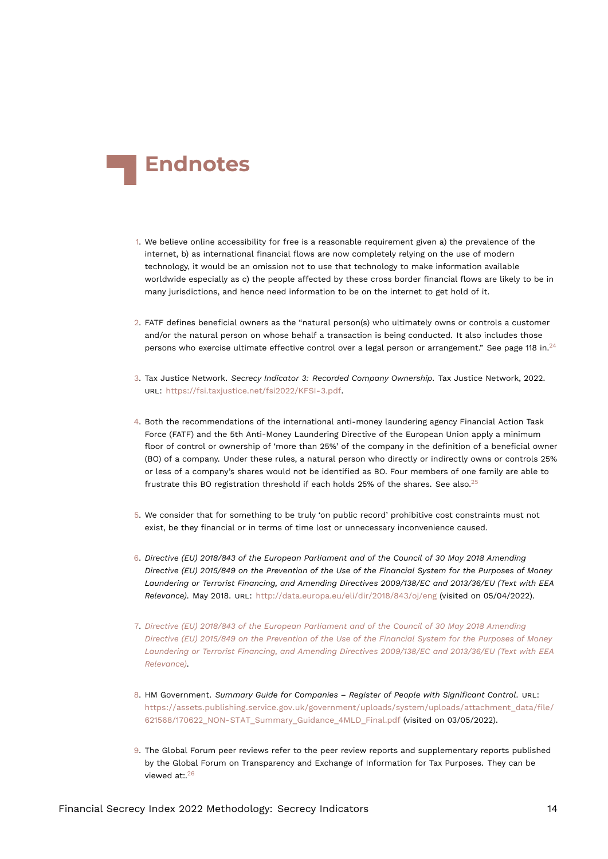<span id="page-13-14"></span>

- <span id="page-13-0"></span>[1.](#page-0-0) We believe online accessibility for free is a reasonable requirement given a) the prevalence of the internet, b) as international financial flows are now completely relying on the use of modern technology, it would be an omission not to use that technology to make information available worldwide especially as c) the people affected by these cross border financial flows are likely to be in many jurisdictions, and hence need information to be on the internet to get hold of it.
- <span id="page-13-10"></span><span id="page-13-1"></span>[2.](#page-1-1) FATF defines beneficial owners as the "natural person(s) who ultimately owns or controls a customer and/or the natural person on whose behalf a transaction is being conducted. It also includes those persons who exercise ultimate effective control over a legal person or arrangement." See page 118 in.<sup>[24](#page-15-4)</sup>
- <span id="page-13-12"></span><span id="page-13-2"></span>[3.](#page-1-2) Tax Justice Network. *Secrecy Indicator 3: Recorded Company Ownership*. Tax Justice Network, 2022. URL: <https://fsi.taxjustice.net/fsi2022/KFSI-3.pdf>.
- <span id="page-13-3"></span>[4.](#page-1-3) Both the recommendations of the international anti-money laundering agency Financial Action Task Force (FATF) and the 5th Anti-Money Laundering Directive of the European Union apply a minimum floor of control or ownership of 'more than 25%' of the company in the definition of a beneficial owner (BO) of a company. Under these rules, a natural person who directly or indirectly owns or controls 25% or less of a company's shares would not be identified as BO. Four members of one family are able to frustrate this BO registration threshold if each holds [25](#page-15-5)% of the shares. See also.<sup>25</sup>
- <span id="page-13-11"></span><span id="page-13-4"></span>[5.](#page-2-0) We consider that for something to be truly 'on public record' prohibitive cost constraints must not exist, be they financial or in terms of time lost or unnecessary inconvenience caused.
- <span id="page-13-9"></span><span id="page-13-5"></span>[6.](#page-2-1) *Directive (EU) 2018/843 of the European Parliament and of the Council of 30 May 2018 Amending Directive (EU) 2015/849 on the Prevention of the Use of the Financial System for the Purposes of Money Laundering or Terrorist Financing, and Amending Directives 2009/138/EC and 2013/36/EU (Text with EEA Relevance)*. May 2018. URL: <http://data.europa.eu/eli/dir/2018/843/oj/eng> (visited on 05/04/2022).
- <span id="page-13-6"></span>[7.](#page-3-0) *[Directive \(EU\) 2018/843 of the European Parliament and of the Council of 30 May 2018 Amending](#page-13-9) [Directive \(EU\) 2015/849 on the Prevention of the Use of the Financial System for the Purposes of Money](#page-13-9) [Laundering or Terrorist Financing, and Amending Directives 2009/138/EC and 2013/36/EU \(Text with EEA](#page-13-9) [Relevance\)](#page-13-9)*.
- <span id="page-13-7"></span>[8.](#page-3-1) HM Government. *Summary Guide for Companies – Register of People with Significant Control*. URL: [https://assets.publishing.service.gov.uk/government/uploads/system/uploads/attachment\\_data/file/](https://assets.publishing.service.gov.uk/government/uploads/system/uploads/attachment_data/file/621568/170622_NON-STAT_Summary_Guidance_4MLD_Final.pdf) [621568/170622\\_NON-STAT\\_Summary\\_Guidance\\_4MLD\\_Final.pdf](https://assets.publishing.service.gov.uk/government/uploads/system/uploads/attachment_data/file/621568/170622_NON-STAT_Summary_Guidance_4MLD_Final.pdf) (visited on 03/05/2022).
- <span id="page-13-13"></span><span id="page-13-8"></span>[9.](#page-3-2) The Global Forum peer reviews refer to the peer review reports and supplementary reports published by the Global Forum on Transparency and Exchange of Information for Tax Purposes. They can be viewed at:.<sup>[26](#page-15-6)</sup>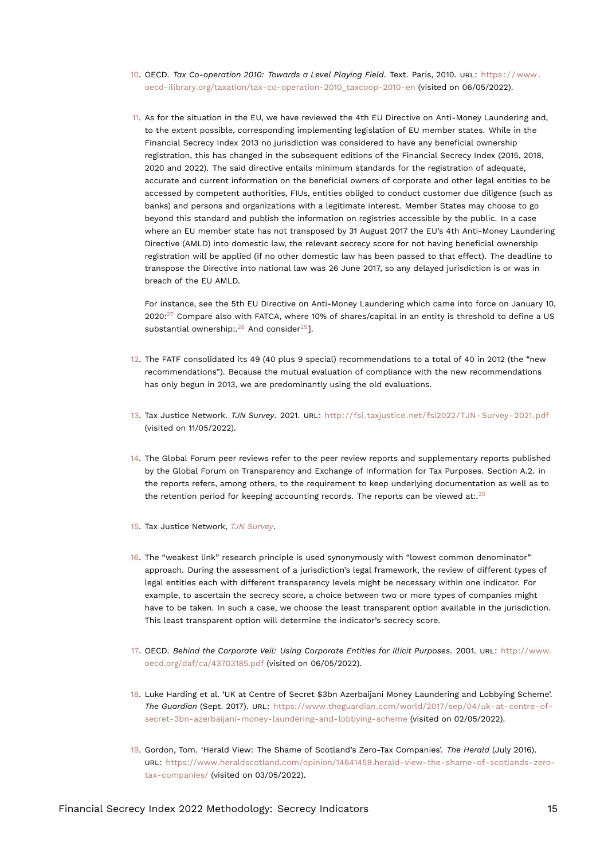- <span id="page-14-16"></span><span id="page-14-0"></span>[10.](#page-3-3) OECD. *Tax Co-operation 2010: Towards a Level Playing Field*. Text. Paris, 2010. URL: [https : / / www .](https://www.oecd-ilibrary.org/taxation/tax-co-operation-2010_taxcoop-2010-en) [oecd-ilibrary.org/taxation/tax-co-operation-2010\\_taxcoop-2010-en](https://www.oecd-ilibrary.org/taxation/tax-co-operation-2010_taxcoop-2010-en) (visited on 06/05/2022).
- <span id="page-14-1"></span>[11.](#page-3-4) As for the situation in the EU, we have reviewed the 4th EU Directive on Anti-Money Laundering and, to the extent possible, corresponding implementing legislation of EU member states. While in the Financial Secrecy Index 2013 no jurisdiction was considered to have any beneficial ownership registration, this has changed in the subsequent editions of the Financial Secrecy Index (2015, 2018, 2020 and 2022). The said directive entails minimum standards for the registration of adequate, accurate and current information on the beneficial owners of corporate and other legal entities to be accessed by competent authorities, FIUs, entities obliged to conduct customer due diligence (such as banks) and persons and organizations with a legitimate interest. Member States may choose to go beyond this standard and publish the information on registries accessible by the public. In a case where an EU member state has not transposed by 31 August 2017 the EU's 4th Anti-Money Laundering Directive (AMLD) into domestic law, the relevant secrecy score for not having beneficial ownership registration will be applied (if no other domestic law has been passed to that effect). The deadline to transpose the Directive into national law was 26 June 2017, so any delayed jurisdiction is or was in breach of the EU AMLD.

<span id="page-14-14"></span><span id="page-14-13"></span><span id="page-14-12"></span>For instance, see the 5th EU Directive on Anti-Money Laundering which came into force on January 10,  $2020$ :<sup>[27](#page-15-7)</sup> Compare also with FATCA, where 10% of shares/capital in an entity is threshold to define a US substantial ownership:  $28$  And consider<sup>[29](#page-15-9)</sup>].

- <span id="page-14-2"></span>[12.](#page-3-5) The FATF consolidated its 49 (40 plus 9 special) recommendations to a total of 40 in 2012 (the "new recommendations"). Because the mutual evaluation of compliance with the new recommendations has only begun in 2013, we are predominantly using the old evaluations.
- <span id="page-14-10"></span><span id="page-14-3"></span>[13.](#page-3-6) Tax Justice Network. *TJN Survey*. 2021. URL: [http://fsi.taxjustice.net/fsi2022/TJN- Survey- 2021.pdf](http://fsi.taxjustice.net/fsi2022/TJN-Survey-2021.pdf) (visited on 11/05/2022).
- <span id="page-14-4"></span>[14.](#page-4-0) The Global Forum peer reviews refer to the peer review reports and supplementary reports published by the Global Forum on Transparency and Exchange of Information for Tax Purposes. Section A.2. in the reports refers, among others, to the requirement to keep underlying documentation as well as to the retention period for keeping accounting records. The reports can be viewed at:. $30$
- <span id="page-14-15"></span><span id="page-14-5"></span>[15.](#page-4-1) Tax Justice Network, *[TJN Survey](#page-14-10)*.
- <span id="page-14-6"></span>[16.](#page-4-2) The "weakest link" research principle is used synonymously with "lowest common denominator" approach. During the assessment of a jurisdiction's legal framework, the review of different types of legal entities each with different transparency levels might be necessary within one indicator. For example, to ascertain the secrecy score, a choice between two or more types of companies might have to be taken. In such a case, we choose the least transparent option available in the jurisdiction. This least transparent option will determine the indicator's secrecy score.
- <span id="page-14-7"></span>[17.](#page-5-0) OECD. *Behind the Corporate Veil: Using Corporate Entities for Illicit Purposes*. 2001. URL: [http://www.](http://www.oecd.org/daf/ca/43703185.pdf) [oecd.org/daf/ca/43703185.pdf](http://www.oecd.org/daf/ca/43703185.pdf) (visited on 06/05/2022).
- <span id="page-14-8"></span>[18.](#page-5-1) Luke Harding et al. 'UK at Centre of Secret \$3bn Azerbaijani Money Laundering and Lobbying Scheme'. *The Guardian* (Sept. 2017). URL: [https://www.theguardian.com/world/2017/sep/04/uk-at-centre-of](https://www.theguardian.com/world/2017/sep/04/uk-at-centre-of-secret-3bn-azerbaijani-money-laundering-and-lobbying-scheme)[secret-3bn-azerbaijani-money-laundering-and-lobbying-scheme](https://www.theguardian.com/world/2017/sep/04/uk-at-centre-of-secret-3bn-azerbaijani-money-laundering-and-lobbying-scheme) (visited on 02/05/2022).
- <span id="page-14-11"></span><span id="page-14-9"></span>[19.](#page-5-2) Gordon, Tom. 'Herald View: The Shame of Scotland's Zero-Tax Companies'. *The Herald* (July 2016). URL: [https://www.heraldscotland.com/opinion/14641459.herald-view-the-shame-of-scotlands-zero](https://www.heraldscotland.com/opinion/14641459.herald-view-the-shame-of-scotlands-zero-tax-companies/)[tax-companies/](https://www.heraldscotland.com/opinion/14641459.herald-view-the-shame-of-scotlands-zero-tax-companies/) (visited on 03/05/2022).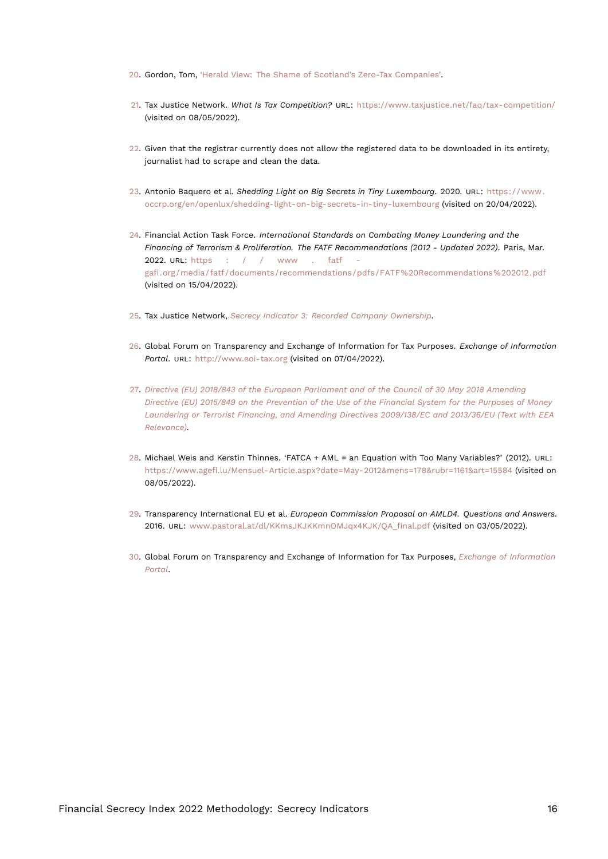- <span id="page-15-12"></span><span id="page-15-0"></span>[20.](#page-5-3) Gordon, Tom, ['Herald View: The Shame of Scotland's Zero-Tax Companies'.](#page-14-11)
- <span id="page-15-1"></span>[21.](#page-6-0) Tax Justice Network. *What Is Tax Competition?* URL: <https://www.taxjustice.net/faq/tax-competition/> (visited on 08/05/2022).
- <span id="page-15-2"></span>[22.](#page-6-1) Given that the registrar currently does not allow the registered data to be downloaded in its entirety, journalist had to scrape and clean the data.
- <span id="page-15-3"></span>[23.](#page-6-2) Antonio Baquero et al. *Shedding Light on Big Secrets in Tiny Luxembourg*. 2020. URL: [https://www.](https://www.occrp.org/en/openlux/shedding-light-on-big-secrets-in-tiny-luxembourg) [occrp.org/en/openlux/shedding-light-on-big-secrets-in-tiny-luxembourg](https://www.occrp.org/en/openlux/shedding-light-on-big-secrets-in-tiny-luxembourg) (visited on 20/04/2022).
- <span id="page-15-4"></span>[24.](#page-13-10) Financial Action Task Force. *International Standards on Combating Money Laundering and the Financing of Terrorism & Proliferation. The FATF Recommendations (2012 - Updated 2022)*. Paris, Mar. 2022. URL: [https : / / www . fatf](https://www.fatf-gafi.org/media/fatf/documents/recommendations/pdfs/FATF%20Recommendations%202012.pdf)  [gafi.org/media/fatf/documents/recommendations/pdfs/FATF%20Recommendations%202012.pdf](https://www.fatf-gafi.org/media/fatf/documents/recommendations/pdfs/FATF%20Recommendations%202012.pdf) (visited on 15/04/2022).
- <span id="page-15-5"></span>[25.](#page-13-11) Tax Justice Network, *[Secrecy Indicator 3: Recorded Company Ownership](#page-13-12)*.
- <span id="page-15-11"></span><span id="page-15-6"></span>[26.](#page-13-13) Global Forum on Transparency and Exchange of Information for Tax Purposes. *Exchange of Information Portal*. URL: <http://www.eoi-tax.org> (visited on 07/04/2022).
- <span id="page-15-7"></span>[27.](#page-14-12) *[Directive \(EU\) 2018/843 of the European Parliament and of the Council of 30 May 2018 Amending](#page-13-9) [Directive \(EU\) 2015/849 on the Prevention of the Use of the Financial System for the Purposes of Money](#page-13-9) [Laundering or Terrorist Financing, and Amending Directives 2009/138/EC and 2013/36/EU \(Text with EEA](#page-13-9) [Relevance\)](#page-13-9)*.
- <span id="page-15-8"></span>[28.](#page-14-13) Michael Weis and Kerstin Thinnes. 'FATCA + AML = an Equation with Too Many Variables?' (2012). URL: <https://www.agefi.lu/Mensuel-Article.aspx?date=May-2012&mens=178&rubr=1161&art=15584> (visited on 08/05/2022).
- <span id="page-15-9"></span>[29.](#page-14-14) Transparency International EU et al. *European Commission Proposal on AMLD4. Questions and Answers*. 2016. URL: [www.pastoral.at/dl/KKmsJKJKKmnOMJqx4KJK/QA\\_final.pdf](www.pastoral.at/dl/KKmsJKJKKmnOMJqx4KJK/QA_final.pdf) (visited on 03/05/2022).
- <span id="page-15-10"></span>[30.](#page-14-15) Global Forum on Transparency and Exchange of Information for Tax Purposes, *[Exchange of Information](#page-15-11) [Portal](#page-15-11)*.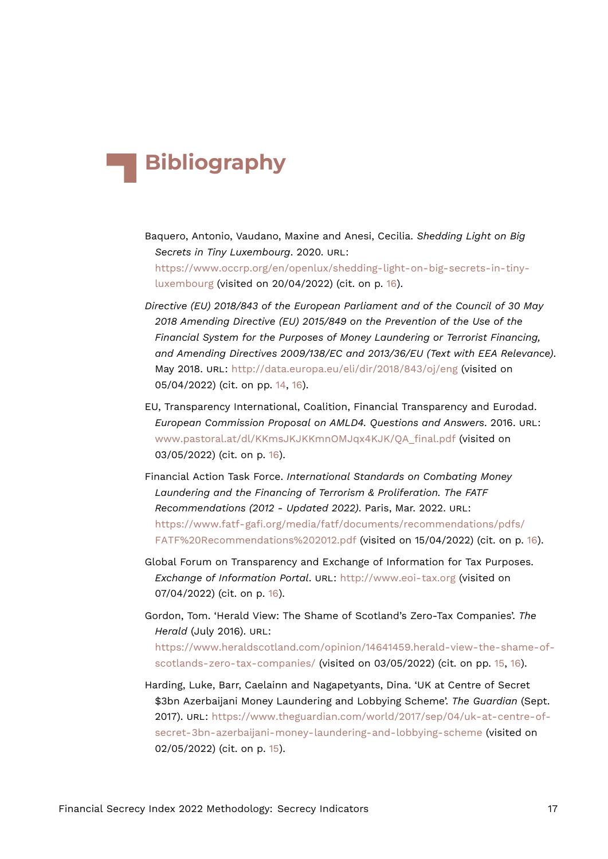# **Bibliography**

- Baquero, Antonio, Vaudano, Maxine and Anesi, Cecilia. *Shedding Light on Big Secrets in Tiny Luxembourg*. 2020. URL: [https://www.occrp.org/en/openlux/shedding-light-on-big-secrets-in-tiny](https://www.occrp.org/en/openlux/shedding-light-on-big-secrets-in-tiny-luxembourg)[luxembourg](https://www.occrp.org/en/openlux/shedding-light-on-big-secrets-in-tiny-luxembourg) (visited on 20/04/2022) (cit. on p. [16\)](#page-15-12).
- *Directive (EU) 2018/843 of the European Parliament and of the Council of 30 May 2018 Amending Directive (EU) 2015/849 on the Prevention of the Use of the Financial System for the Purposes of Money Laundering or Terrorist Financing, and Amending Directives 2009/138/EC and 2013/36/EU (Text with EEA Relevance)*. May 2018. URL: <http://data.europa.eu/eli/dir/2018/843/oj/eng> (visited on 05/04/2022) (cit. on pp. [14](#page-13-14), [16](#page-15-12)).
- EU, Transparency International, Coalition, Financial Transparency and Eurodad. *European Commission Proposal on AMLD4. Questions and Answers*. 2016. URL: [www.pastoral.at/dl/KKmsJKJKKmnOMJqx4KJK/QA\\_final.pdf](www.pastoral.at/dl/KKmsJKJKKmnOMJqx4KJK/QA_final.pdf) (visited on 03/05/2022) (cit. on p. [16](#page-15-12)).
- Financial Action Task Force. *International Standards on Combating Money Laundering and the Financing of Terrorism & Proliferation. The FATF Recommendations (2012 - Updated 2022)*. Paris, Mar. 2022. URL: [https://www.fatf-gafi.org/media/fatf/documents/recommendations/pdfs/](https://www.fatf-gafi.org/media/fatf/documents/recommendations/pdfs/FATF%20Recommendations%202012.pdf) [FATF%20Recommendations%202012.pdf](https://www.fatf-gafi.org/media/fatf/documents/recommendations/pdfs/FATF%20Recommendations%202012.pdf) (visited on 15/04/2022) (cit. on p. [16](#page-15-12)).
- Global Forum on Transparency and Exchange of Information for Tax Purposes. *Exchange of Information Portal*. URL: <http://www.eoi-tax.org> (visited on 07/04/2022) (cit. on p. [16\)](#page-15-12).
- Gordon, Tom. 'Herald View: The Shame of Scotland's Zero-Tax Companies'. *The Herald* (July 2016). URL: [https://www.heraldscotland.com/opinion/14641459.herald-view-the-shame-of](https://www.heraldscotland.com/opinion/14641459.herald-view-the-shame-of-scotlands-zero-tax-companies/)[scotlands-zero-tax-companies/](https://www.heraldscotland.com/opinion/14641459.herald-view-the-shame-of-scotlands-zero-tax-companies/) (visited on 03/05/2022) (cit. on pp. [15](#page-14-16), [16](#page-15-12)).
- Harding, Luke, Barr, Caelainn and Nagapetyants, Dina. 'UK at Centre of Secret \$3bn Azerbaijani Money Laundering and Lobbying Scheme'. *The Guardian* (Sept. 2017). URL: [https://www.theguardian.com/world/2017/sep/04/uk-at-centre-of](https://www.theguardian.com/world/2017/sep/04/uk-at-centre-of-secret-3bn-azerbaijani-money-laundering-and-lobbying-scheme)[secret-3bn-azerbaijani-money-laundering-and-lobbying-scheme](https://www.theguardian.com/world/2017/sep/04/uk-at-centre-of-secret-3bn-azerbaijani-money-laundering-and-lobbying-scheme) (visited on 02/05/2022) (cit. on p. [15](#page-14-16)).